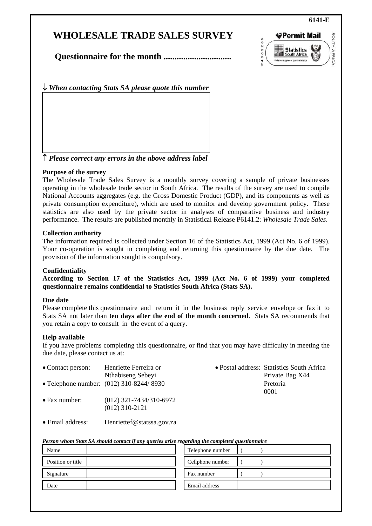## **WHOLESALE TRADE SALES SURVEY**



**Questionnaire for the month ...............................** 

↓ *When contacting Stats SA please quote this number*

↑ *Please correct any errors in the above address label*

#### **Purpose of the survey**

The Wholesale Trade Sales Survey is a monthly survey covering a sample of private businesses operating in the wholesale trade sector in South Africa. The results of the survey are used to compile National Accounts aggregates (e.g. the Gross Domestic Product (GDP), and its components as well as private consumption expenditure), which are used to monitor and develop government policy. These statistics are also used by the private sector in analyses of comparative business and industry performance. The results are published monthly in Statistical Release P6141.2: *Wholesale Trade Sales*.

#### **Collection authority**

The information required is collected under Section 16 of the Statistics Act, 1999 (Act No. 6 of 1999). Your co-operation is sought in completing and returning this questionnaire by the due date. The provision of the information sought is compulsory.

#### **Confidentiality**

**According to Section 17 of the Statistics Act, 1999 (Act No. 6 of 1999) your completed questionnaire remains confidential to Statistics South Africa (Stats SA).** 

#### **Due date**

Please complete this questionnaire and return it in the business reply service envelope or fax it to Stats SA not later than **ten days after the end of the month concerned**. Stats SA recommends that you retain a copy to consult in the event of a query.

#### **Help available**

If you have problems completing this questionnaire, or find that you may have difficulty in meeting the due date, please contact us at:

| • Contact person:     | Henriette Ferreira or                         | • Postal address: Statistics South Africa |
|-----------------------|-----------------------------------------------|-------------------------------------------|
|                       | Nthabiseng Sebeyi                             | Private Bag X44                           |
|                       | • Telephone number: (012) 310-8244/8930       | Pretoria<br>0001                          |
| $\bullet$ Fax number: | $(012)$ 321-7434/310-6972<br>$(012)$ 310-2121 |                                           |

• Email address: Henriettef@statssa.gov.za

#### *Person whom Stats SA should contact if any queries arise regarding the completed questionnaire*

| Name              | Telephone number |
|-------------------|------------------|
| Position or title | Cellphone number |
| Signature         | Fax number       |
| Date              | Email address    |

#### **6141-E**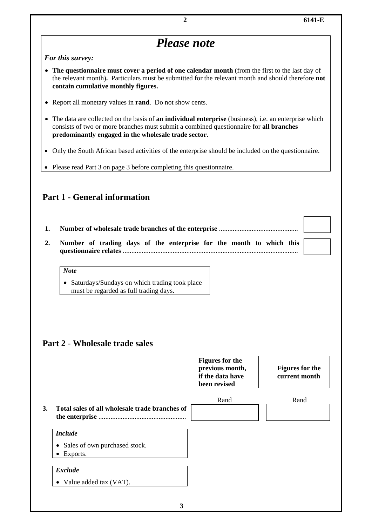# **2 6141-E**  *Please note For this survey:*  • **The questionnaire must cover a period of one calendar month** (from the first to the last day of the relevant month)**.** Particulars must be submitted for the relevant month and should therefore **not contain cumulative monthly figures.** • Report all monetary values in **rand**. Do not show cents. • The data are collected on the basis of **an individual enterprise** (business), i.e. an enterprise which consists of two or more branches must submit a combined questionnaire for **all branches predominantly engaged in the wholesale trade sector.**  • Only the South African based activities of the enterprise should be included on the questionnaire. • Please read Part 3 on page 3 before completing this questionnaire. **Part 1 - General information 1. Number of wholesale trade branches of the enterprise** .............................................. **2. Number of trading days of the enterprise for the month to which this questionnaire relates** ......................................................................................................

#### *Note*

• Saturdays/Sundays on which trading took place must be regarded as full trading days.

## **Part 2 - Wholesale trade sales**

|           |                                                          | <b>Figures for the</b><br>previous month,<br>if the data have<br>been revised | <b>Figures for the</b><br>current month |
|-----------|----------------------------------------------------------|-------------------------------------------------------------------------------|-----------------------------------------|
|           |                                                          | Rand                                                                          | Rand                                    |
| <b>3.</b> | Total sales of all wholesale trade branches of           |                                                                               |                                         |
|           | <b>Include</b>                                           |                                                                               |                                         |
|           | Sales of own purchased stock.<br>٠<br>$\bullet$ Exports. |                                                                               |                                         |
|           | <b>Exclude</b><br>Value added tax (VAT).<br>$\bullet$    |                                                                               |                                         |